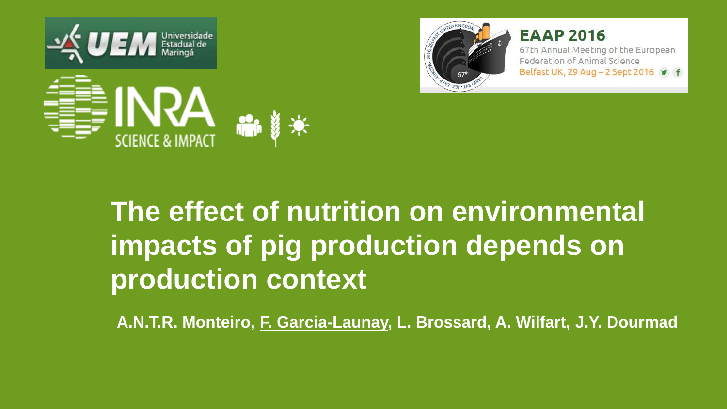





#### **EAAP 2016**

67th Annual Meeting of the European Federation of Animal Science Belfast UK, 29 Aug - 2 Sept 2016 9 f

## **The effect of nutrition on environmental impacts of pig production depends on production context**

**A.N.T.R. Monteiro, F. Garcia-Launay, L. Brossard, A. Wilfart, J.Y. Dourmad**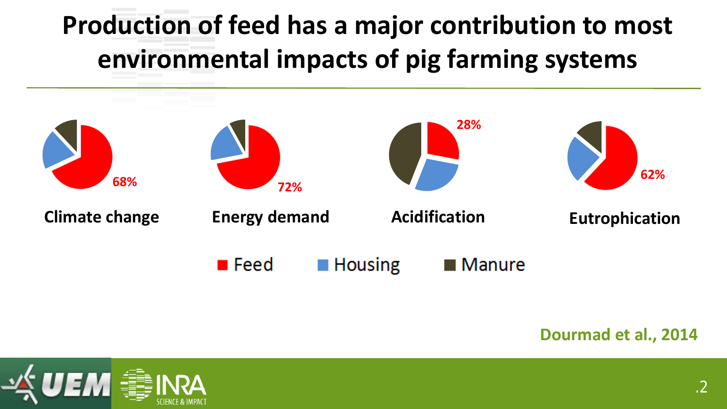## **Production of feed has a major contribution to most environmental impacts of pig farming systems**



#### **Dourmad et al., 2014**

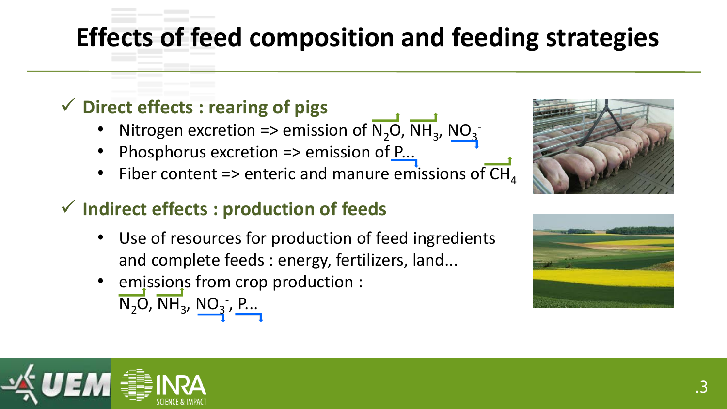## **Effects of feed composition and feeding strategies**

#### **Direct effects : rearing of pigs**

- Nitrogen excretion => emission of  $N_2O$ , NH<sub>3</sub>,  $NO_3$
- Phosphorus excretion => emission of  $P_{\cdots}$
- Fiber content => enteric and manure emissions of  $\overline{\text{CH}}_4$

#### **Indirect effects : production of feeds**

- Use of resources for production of feed ingredients and complete feeds : energy, fertilizers, land...
- emissions from crop production :  $\overline{\mathsf{N}_2\mathsf{O}},\overline{\mathsf{NH}}_3$ ,  $\underline{\mathsf{NO}_3}$  ,  $\underline{\mathsf{P}}...$





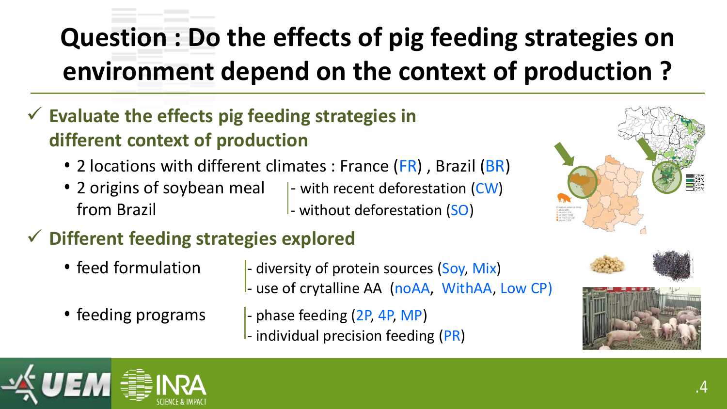## **Question : Do the effects of pig feeding strategies on environment depend on the context of production ?**

- **Evaluate the effects pig feeding strategies in different context of production**
	- 2 locations with different climates : France (FR), Brazil (BR)
	- 2 origins of soybean meal  $\vert$  with recent deforestation (CW) from Brazil **From Brazil** - without deforestation (SO)
		-
- **Different feeding strategies explored**
	-
	- feed formulation  $\blacksquare$  diversity of protein sources (Soy, Mix) - use of crytalline AA (noAA, WithAA, Low CP)
	-
	- feeding programs  $\blacksquare$  phase feeding  $(2P, 4P, MP)$ 
		- $-$  individual precision feeding (PR)





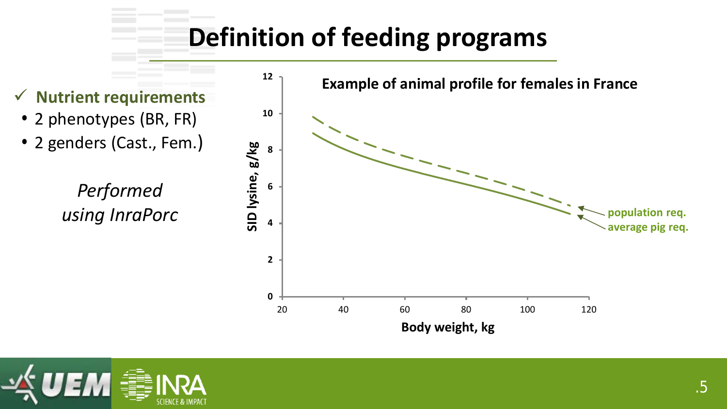

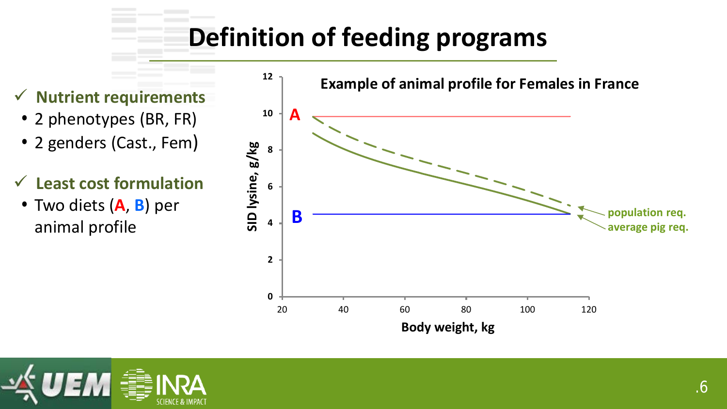- 2 phenotypes (BR, FR)
- 2 genders (Cast., Fem)
- **Least cost formulation**
- Two diets (**A**, **B**) per animal profile



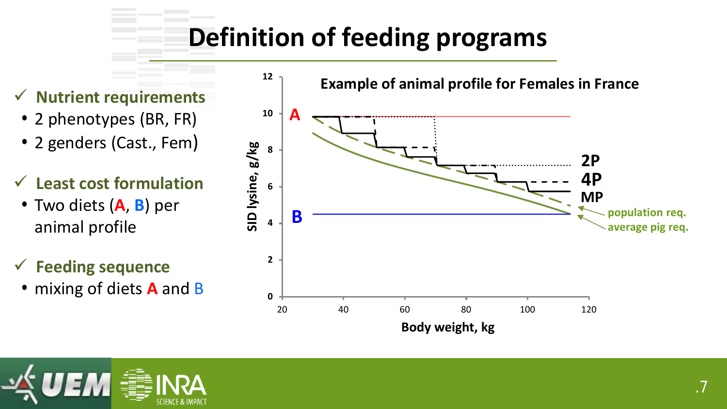- 2 phenotypes (BR, FR)
- 2 genders (Cast., Fem)
- **Least cost formulation**
- Two diets (**A**, **B**) per animal profile

#### **Feeding sequence**

• mixing of diets **A** and B



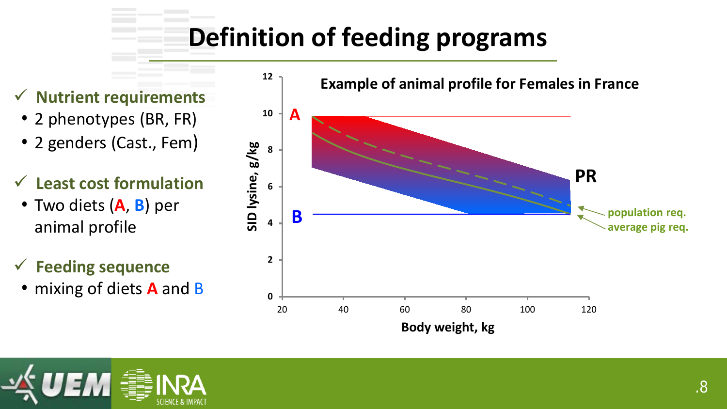- 2 phenotypes (BR, FR)
- 2 genders (Cast., Fem)
- **Least cost formulation**
- Two diets (**A**, **B**) per animal profile

#### **Feeding sequence**

• mixing of diets **A** and B



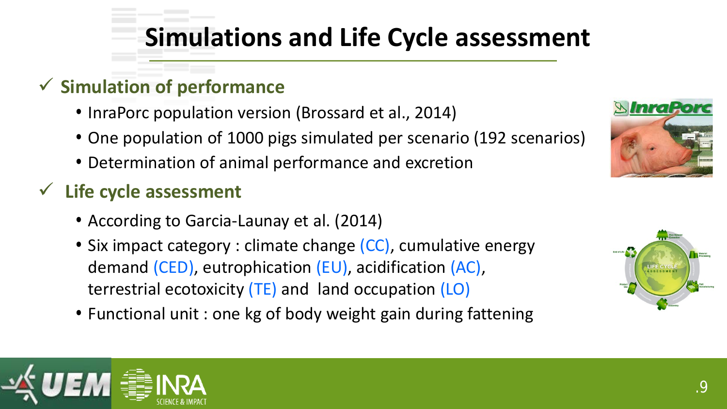## **Simulations and Life Cycle assessment**

#### **Simulation of performance**

- InraPorc population version (Brossard et al., 2014)
- One population of 1000 pigs simulated per scenario (192 scenarios)
- Determination of animal performance and excretion

#### **Life cycle assessment**

- According to Garcia-Launay et al. (2014)
- Six impact category : climate change (CC), cumulative energy demand (CED), eutrophication (EU), acidification (AC), terrestrial ecotoxicity (TE) and land occupation (LO)
- Functional unit : one kg of body weight gain during fattening





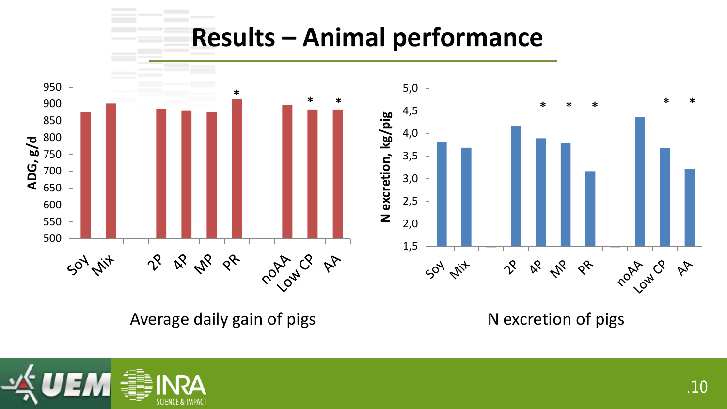#### **Results – Animal performance**



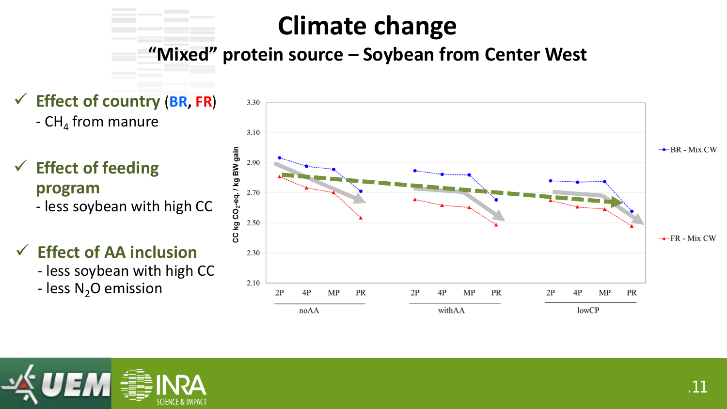#### **Climate change**

**"Mixed" protein source – Soybean from Center West** 

- **Effect of country** (**BR, FR**)  $-$  CH<sub>4</sub> from manure
- **Effect of feeding program** - less soybean with high CC
- **Effect of AA inclusion**
	- less soybean with high CC
	- less  $N_2O$  emission



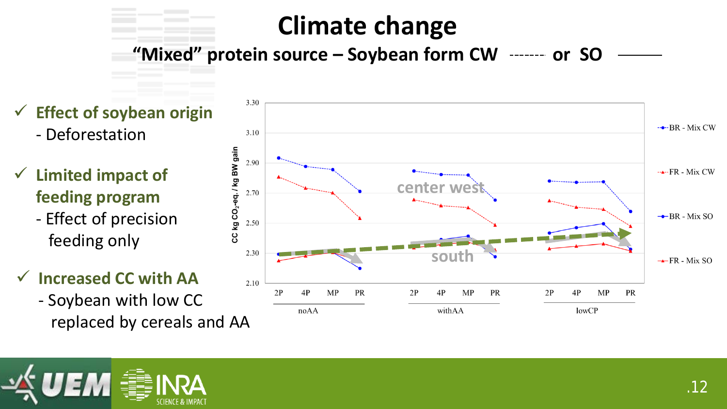### **Climate change**

"Mixed" protein source – Soybean form CW ------- or SO

3.30 **Effect of soybean origin** - Deforestation 3.10 CC kg CO<sub>2</sub>-eq. / kg BW gain 2.90 **Limited impact of center west** 2.70 **feeding program** - Effect of precision 2.50 feeding only 2.30 **south Increased CC with AA** 2.10  $2P$  $4P$ MP PR  $2P$  $4P$ MP PR  $2P$  $4P$ - Soybean with low CC noAA withAA lowCP

replaced by cereals and AA

 $-$ --BR - Mix CW

 $-x-FR$  - Mix CW

 $\rightarrow$ BR - Mix SO

 $\rightarrow$  FR - Mix SO

MP

PR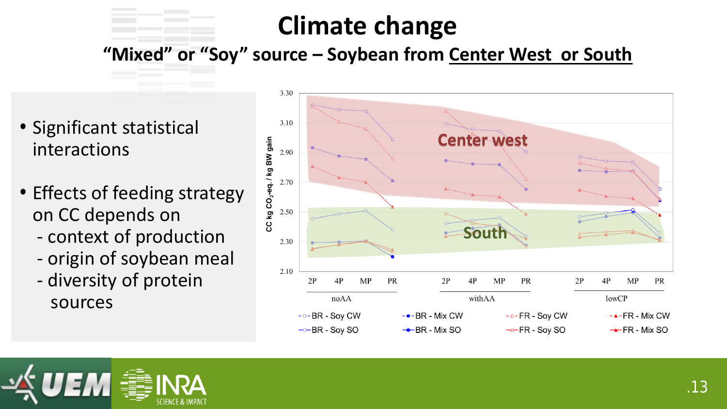#### **Climate change**

**"Mixed" or "Soy" source – Soybean from Center West or South**

- Significant statistical interactions
- Effects of feeding strategy on CC depends on
	- context of production
	- origin of soybean meal
	- diversity of protein sources



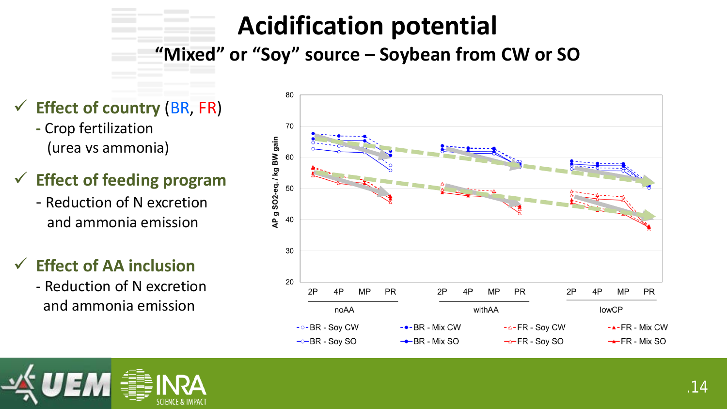### **Acidification potential**

**"Mixed" or "Soy" source – Soybean from CW or SO**

- **Effect of country** (BR, FR)
	- **-** Crop fertilization (urea vs ammonia)
- **Effect of feeding program**
	- Reduction of N excretion and ammonia emission
- **Effect of AA inclusion**
	- Reduction of N excretion and ammonia emission



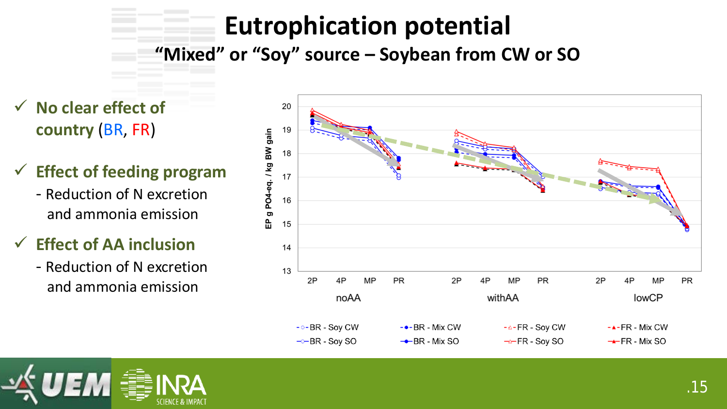## **Eutrophication potential**

**"Mixed" or "Soy" source – Soybean from CW or SO**

- **No clear effect of country** (BR, FR)
- **Effect of feeding program**
	- Reduction of N excretion and ammonia emission
- **Effect of AA inclusion**
	- Reduction of N excretion and ammonia emission



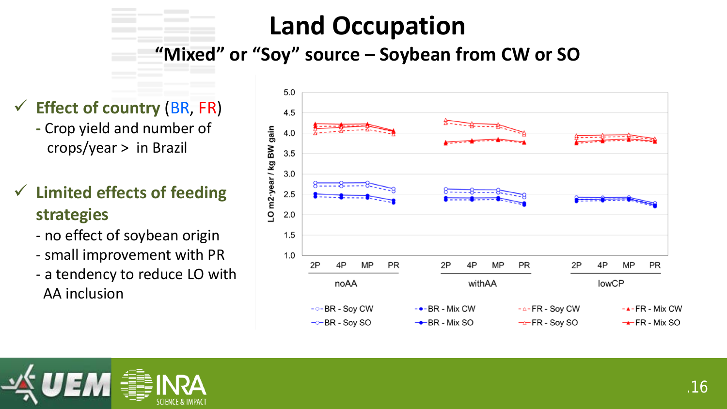## **Land Occupation**

#### **"Mixed" or "Soy" source – Soybean from CW or SO**

- **Effect of country** (BR, FR)
	- **-** Crop yield and number of crops/year > in Brazil
- **Limited effects of feeding strategies**
	- no effect of soybean origin
	- small improvement with PR
	- a tendency to reduce LO with AA inclusion



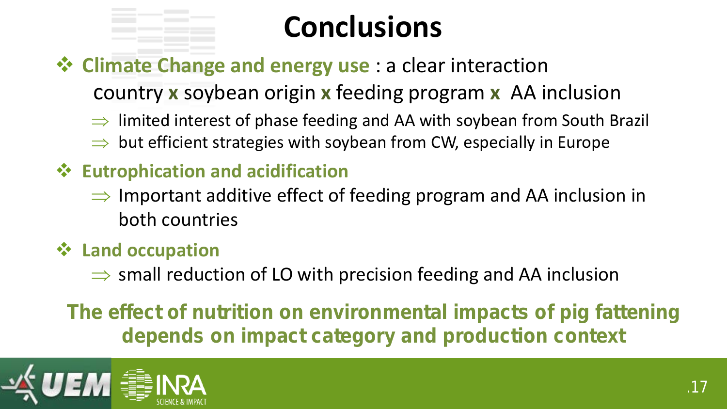# **Conclusions**

#### **Climate Change and energy use** : a clear interaction

country **x** soybean origin **x** feeding program **x** AA inclusion

- $\Rightarrow$  limited interest of phase feeding and AA with soybean from South Brazil
- ⇒ but efficient strategies with soybean from CW, especially in Europe
- **Eutrophication and acidification**
	- $\Rightarrow$  Important additive effect of feeding program and AA inclusion in both countries
- **Land occupation** 
	- $\Rightarrow$  small reduction of LO with precision feeding and AA inclusion

*The effect of nutrition on environmental impacts of pig fattening depends on impact category and production context*